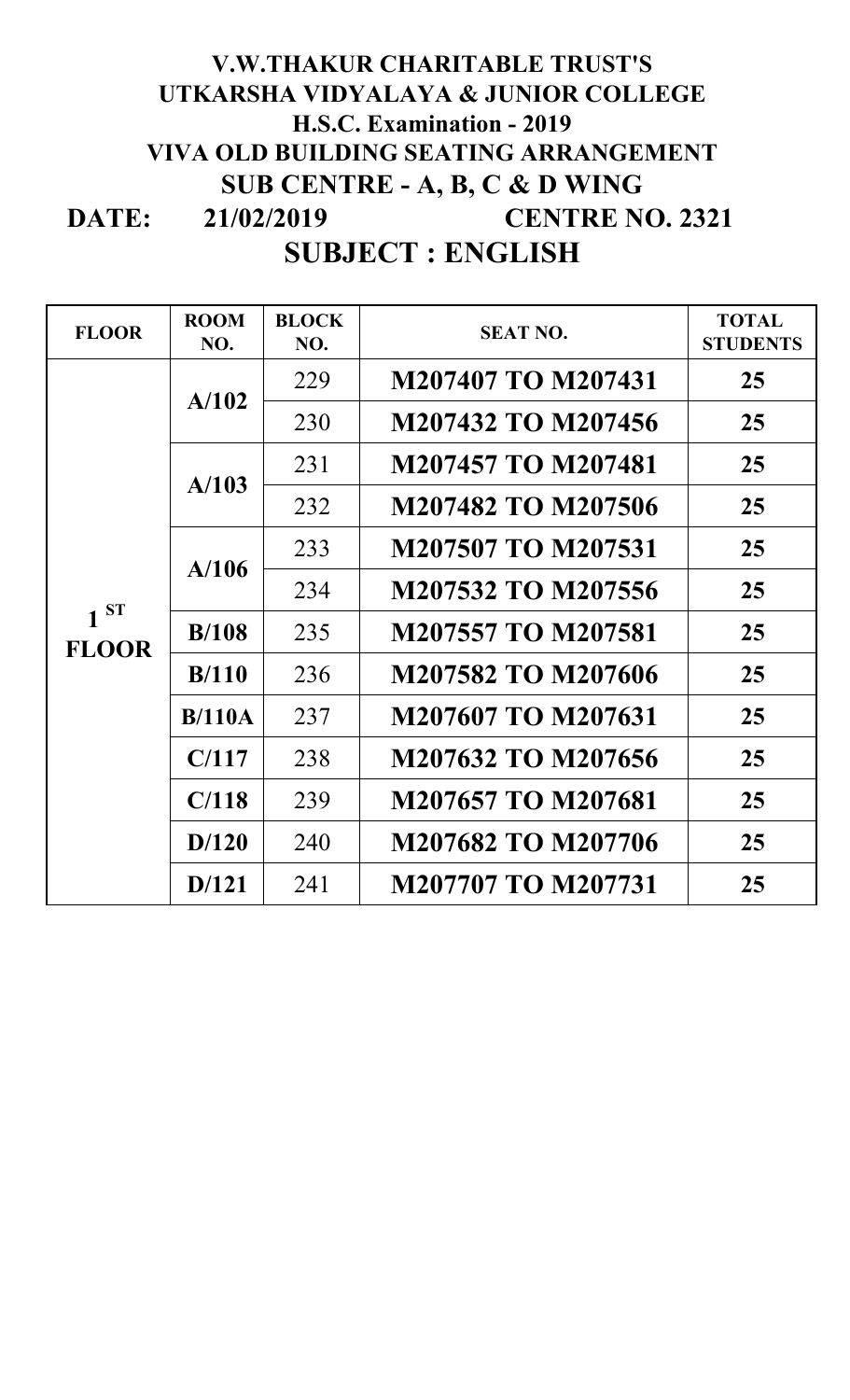## **DATE: V.W.THAKUR CHARITABLE TRUST'S UTKARSHA VIDYALAYA & JUNIOR COLLEGE H.S.C. Examination - 2019 VIVA OLD BUILDING SEATING ARRANGEMENT SUB CENTRE - A, B, C & D WING CENTRE NO. 2321 SUBJECT : ENGLISH 21/02/2019**

| <b>FLOOR</b>             | <b>ROOM</b><br>NO. | <b>BLOCK</b><br>NO. | <b>SEAT NO.</b>           | <b>TOTAL</b><br><b>STUDENTS</b> |
|--------------------------|--------------------|---------------------|---------------------------|---------------------------------|
| $1^{ST}$<br><b>FLOOR</b> | A/102              | 229                 | <b>M207407 TO M207431</b> | 25                              |
|                          |                    | 230                 | M207432 TO M207456        | 25                              |
|                          | A/103              | 231                 | M207457 TO M207481        | 25                              |
|                          |                    | 232                 | M207482 TO M207506        | 25                              |
|                          | A/106              | 233                 | M207507 TO M207531        | 25                              |
|                          |                    | 234                 | M207532 TO M207556        | 25                              |
|                          | B/108              | 235                 | M207557 TO M207581        | 25                              |
|                          | B/110              | 236                 | M207582 TO M207606        | 25                              |
|                          | B/110A             | 237                 | M207607 TO M207631        | 25                              |
|                          | C/117              | 238                 | M207632 TO M207656        | 25                              |
|                          | C/118              | 239                 | M207657 TO M207681        | 25                              |
|                          | D/120              | 240                 | M207682 TO M207706        | 25                              |
|                          | D/121              | 241                 | <b>M207707 TO M207731</b> | 25                              |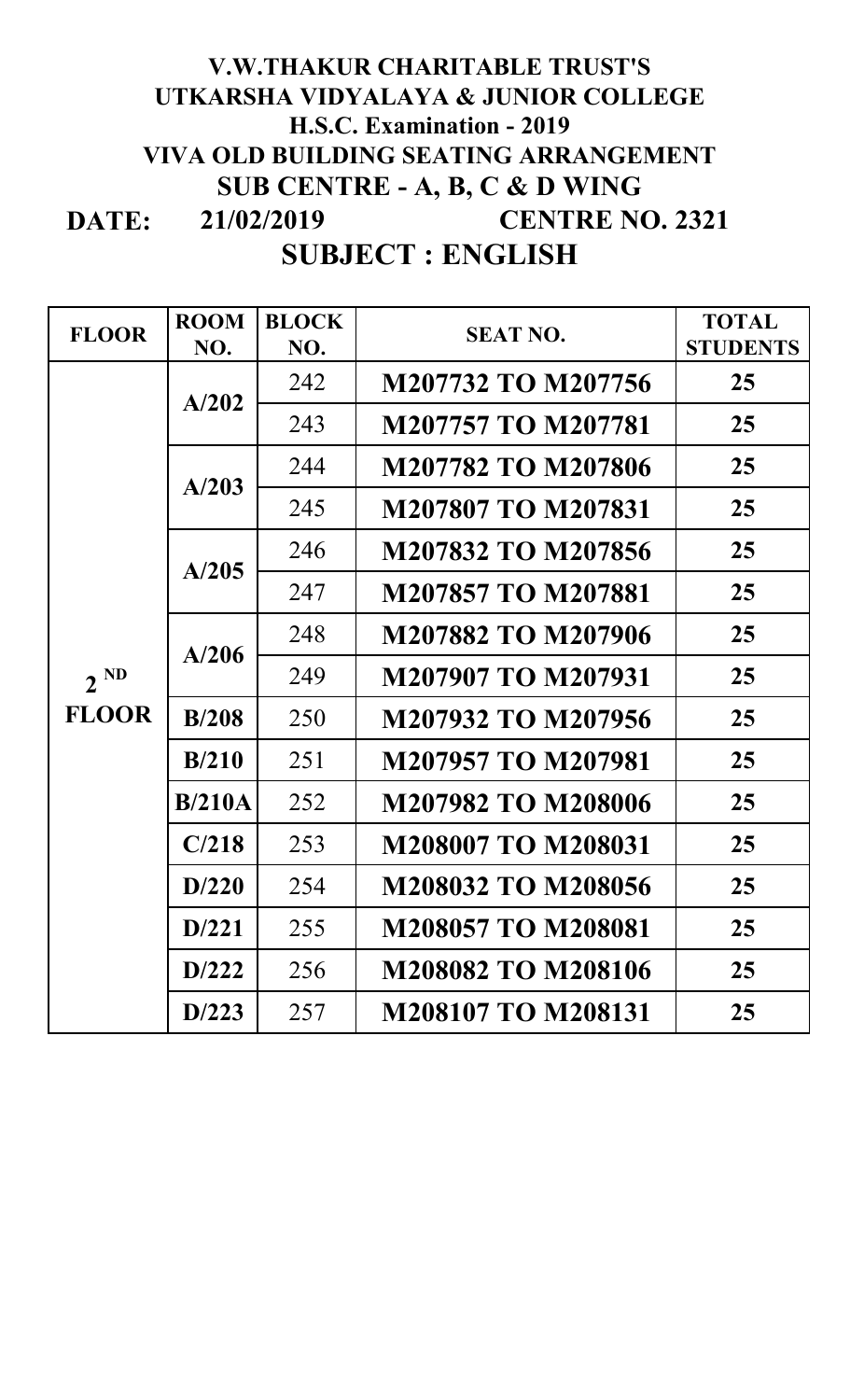## **DATE: 21/02/2019 V.W.THAKUR CHARITABLE TRUST'S UTKARSHA VIDYALAYA & JUNIOR COLLEGE H.S.C. Examination - 2019 VIVA OLD BUILDING SEATING ARRANGEMENT SUB CENTRE - A, B, C & D WING CENTRE NO. 2321**

## **SUBJECT : ENGLISH**

| <b>FLOOR</b>             | <b>ROOM</b> | <b>BLOCK</b> | <b>SEAT NO.</b>           | <b>TOTAL</b>    |
|--------------------------|-------------|--------------|---------------------------|-----------------|
|                          | NO.         | NO.          |                           | <b>STUDENTS</b> |
| $2^{ND}$<br><b>FLOOR</b> | A/202       | 242          | M207732 TO M207756        | 25              |
|                          |             | 243          | <b>M207757 TO M207781</b> | 25              |
|                          | A/203       | 244          | M207782 TO M207806        | 25              |
|                          |             | 245          | <b>M207807 TO M207831</b> | 25              |
|                          | A/205       | 246          | M207832 TO M207856        | 25              |
|                          |             | 247          | <b>M207857 TO M207881</b> | 25              |
|                          | A/206       | 248          | <b>M207882 TO M207906</b> | 25              |
|                          |             | 249          | <b>M207907 TO M207931</b> | 25              |
|                          | B/208       | 250          | M207932 TO M207956        | 25              |
|                          | B/210       | 251          | <b>M207957 TO M207981</b> | 25              |
|                          | B/210A      | 252          | <b>M207982 TO M208006</b> | 25              |
|                          | C/218       | 253          | <b>M208007 TO M208031</b> | 25              |
|                          | D/220       | 254          | <b>M208032 TO M208056</b> | 25              |
|                          | D/221       | 255          | <b>M208057 TO M208081</b> | 25              |
|                          | D/222       | 256          | <b>M208082 TO M208106</b> | 25              |
|                          | D/223       | 257          | M208107 TO M208131        | 25              |